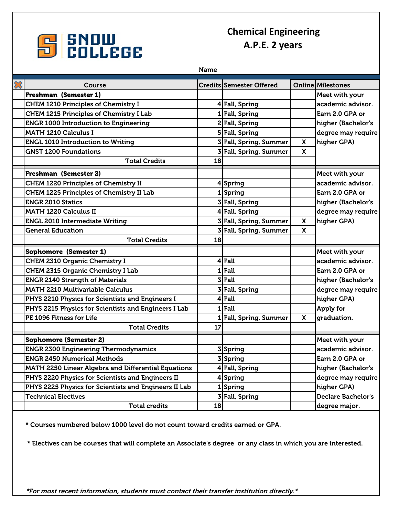

## **Chemical Engineering A.P.E. 2 years**

|                            |                                                            | <b>Name</b> |                                 |          |                           |
|----------------------------|------------------------------------------------------------|-------------|---------------------------------|----------|---------------------------|
| $\boldsymbol{\mathcal{X}}$ | Course                                                     |             | <b>Credits Semester Offered</b> |          | <b>Online Milestones</b>  |
|                            | Freshman (Semester 1)                                      |             |                                 |          | Meet with your            |
|                            | <b>CHEM 1210 Principles of Chemistry I</b>                 |             | 4 Fall, Spring                  |          | academic advisor.         |
|                            | <b>CHEM 1215 Principles of Chemistry I Lab</b>             |             | 1 Fall, Spring                  |          | Earn 2.0 GPA or           |
|                            | <b>ENGR 1000 Introduction to Engineering</b>               |             | 2 Fall, Spring                  |          | higher (Bachelor's        |
|                            | <b>MATH 1210 Calculus I</b>                                |             | 5 Fall, Spring                  |          | degree may require        |
|                            | <b>ENGL 1010 Introduction to Writing</b>                   |             | 3 Fall, Spring, Summer          | X        | higher GPA)               |
|                            | <b>GNST 1200 Foundations</b>                               |             | 3 Fall, Spring, Summer          | X        |                           |
|                            | <b>Total Credits</b>                                       | 18          |                                 |          |                           |
|                            | Freshman (Semester 2)                                      |             |                                 |          | Meet with your            |
|                            | <b>CHEM 1220 Principles of Chemistry II</b>                |             | 4Spring                         |          | academic advisor.         |
|                            | <b>CHEM 1225 Principles of Chemistry II Lab</b>            |             | 1Spring                         |          | Earn 2.0 GPA or           |
|                            | <b>ENGR 2010 Statics</b>                                   |             | 3 Fall, Spring                  |          | higher (Bachelor's        |
|                            | <b>MATH 1220 Calculus II</b>                               |             | 4 Fall, Spring                  |          | degree may require        |
|                            | <b>ENGL 2010 Intermediate Writing</b>                      |             | 3 Fall, Spring, Summer          | X        | higher GPA)               |
|                            | <b>General Education</b>                                   |             | 3 Fall, Spring, Summer          | <b>X</b> |                           |
|                            | <b>Total Credits</b>                                       | 18          |                                 |          |                           |
|                            | Sophomore (Semester 1)                                     |             |                                 |          | Meet with your            |
|                            | <b>CHEM 2310 Organic Chemistry I</b>                       |             | 4 Fall                          |          | academic advisor.         |
|                            | <b>CHEM 2315 Organic Chemistry I Lab</b>                   |             | $1$ Fall                        |          | Earn 2.0 GPA or           |
|                            | <b>ENGR 2140 Strength of Materials</b>                     |             | $3$ Fall                        |          | higher (Bachelor's        |
|                            | <b>MATH 2210 Multivariable Calculus</b>                    |             | 3 Fall, Spring                  |          | degree may require        |
|                            | PHYS 2210 Physics for Scientists and Engineers I           |             | $4$ Fall                        |          | higher GPA)               |
|                            | PHYS 2215 Physics for Scientists and Engineers I Lab       |             | $1$ Fall                        |          | Apply for                 |
|                            | PE 1096 Fitness for Life                                   |             | 1 Fall, Spring, Summer          | X        | graduation.               |
|                            | <b>Total Credits</b>                                       | 17          |                                 |          |                           |
|                            | <b>Sophomore (Semester 2)</b>                              |             |                                 |          | Meet with your            |
|                            | <b>ENGR 2300 Engineering Thermodynamics</b>                |             | 3Spring                         |          | academic advisor.         |
|                            | <b>ENGR 2450 Numerical Methods</b>                         |             | 3 Spring                        |          | Earn 2.0 GPA or           |
|                            | <b>MATH 2250 Linear Algebra and Differential Equations</b> |             | 4 Fall, Spring                  |          | higher (Bachelor's        |
|                            | PHYS 2220 Physics for Scientists and Engineers II          |             | 4 Spring                        |          | degree may require        |
|                            | PHYS 2225 Physics for Scientists and Engineers II Lab      |             | 1 Spring                        |          | higher GPA)               |
|                            | <b>Technical Electives</b>                                 |             | 3 Fall, Spring                  |          | <b>Declare Bachelor's</b> |
|                            | <b>Total credits</b>                                       | 18          |                                 |          | degree major.             |

\* Courses numbered below 1000 level do not count toward credits earned or GPA.

\* Electives can be courses that will complete an Associate's degree or any class in which you are interested.

\*For most recent information, students must contact their transfer institution directly.\*